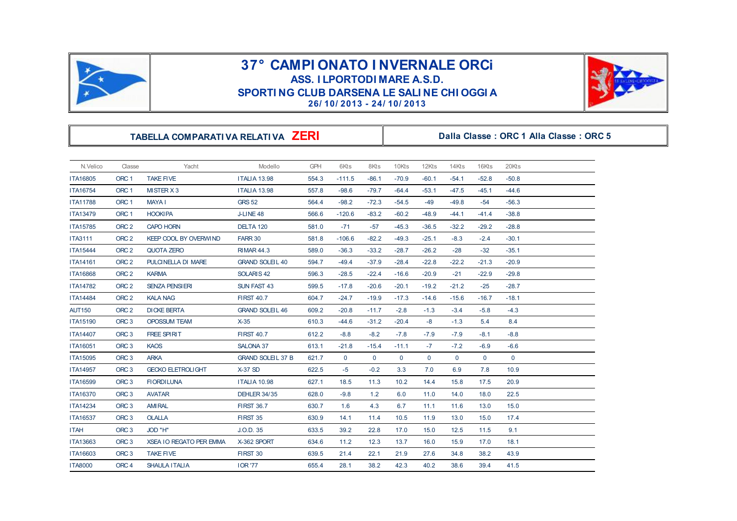

## **37° CAMPI ONATO I NVERNALE ORCI<br>
ASS. I LPORTODI MARE A.S.D.<br>
SPORTI NG CLUB DARSENA LE SALI NE CHI OGGI A<br>
26/10/2013 - 24/10/2013 SPORTI NG CLUB DARSENA LE SALI NE CHI OGGI A**<br> **26/ 10/ 2013 - 24/ 10/ 2013**<br> **26/ 10/ 2013 - 24/ 10/ 2013 SPORTI NG CLUB DARSENA LE SALI NE CHI OGGI A**<br>  $26/10/2013 - 24/10/2013$ <br> **TABELLA COMPARATI VA RELATI VA ZERI** Dalla Classe : ORC 1 Alla Classe : ORC 5



| N.Velico        | Classe           | Yacht                          | Modello                  | <b>GPH</b> | 6Kts        | 8Kts         | 10Kts       | 12Kts       | 14Kts       | 16Kts       | 20Kts       |
|-----------------|------------------|--------------------------------|--------------------------|------------|-------------|--------------|-------------|-------------|-------------|-------------|-------------|
| <b>ITA16805</b> | ORC <sub>1</sub> | <b>TAKE FIVE</b>               | <b>ITALIA 13.98</b>      | 554.3      | $-111.5$    | $-86.1$      | $-70.9$     | $-60.1$     | $-54.1$     | $-52.8$     | $-50.8$     |
| ITA16754        | ORC <sub>1</sub> | MISTER X 3                     | <b>ITALIA 13.98</b>      | 557.8      | $-98.6$     | $-79.7$      | $-64.4$     | $-53.1$     | $-47.5$     | $-45.1$     | $-44.6$     |
| <b>ITA11788</b> | ORC <sub>1</sub> | <b>MAYA1</b>                   | <b>GRS 52</b>            | 564.4      | $-98.2$     | $-72.3$      | $-54.5$     | $-49$       | $-49.8$     | $-54$       | $-56.3$     |
| <b>ITA13479</b> | ORC <sub>1</sub> | <b>HOOKIPA</b>                 | J-LINE 48                | 566.6      | $-120.6$    | $-83.2$      | $-60.2$     | $-48.9$     | -44.1       | $-41.4$     | $-38.8$     |
| ITA15785        | ORC <sub>2</sub> | <b>CAPO HORN</b>               | DELTA 120                | 581.0      | $-71$       | $-57$        | $-45.3$     | $-36.5$     | $-32.2$     | $-29.2$     | $-28.8$     |
| <b>ITA3111</b>  | ORC <sub>2</sub> | <b>KEEP COOL BY OVERWIND</b>   | FARR 30                  | 581.8      | $-106.6$    | $-82.2$      | $-49.3$     | $-25.1$     | $-8.3$      | $-2.4$      | $-30.1$     |
| ITA15444        | ORC <sub>2</sub> | <b>QUOTA ZERO</b>              | <b>RIMAR 44.3</b>        | 589.0      | $-36.3$     | $-33.2$      | $-28.7$     | $-26.2$     | $-28$       | $-32$       | $-35.1$     |
| ITA14161        | ORC <sub>2</sub> | PULCINELLA DI MARE             | <b>GRAND SOLEIL 40</b>   | 594.7      | $-49.4$     | $-37.9$      | $-28.4$     | $-22.8$     | $-22.2$     | $-21.3$     | $-20.9$     |
| <b>ITA16868</b> | ORC <sub>2</sub> | <b>KARMA</b>                   | SOLARIS <sub>42</sub>    | 596.3      | $-28.5$     | $-22.4$      | $-16.6$     | $-20.9$     | $-21$       | $-22.9$     | $-29.8$     |
| <b>ITA14782</b> | ORC <sub>2</sub> | <b>SENZA PENSIERI</b>          | <b>SUN FAST 43</b>       | 599.5      | $-17.8$     | $-20.6$      | $-20.1$     | $-19.2$     | $-21.2$     | $-25$       | $-28.7$     |
| <b>ITA14484</b> | ORC <sub>2</sub> | <b>KALA NAG</b>                | <b>FIRST 40.7</b>        | 604.7      | $-24.7$     | $-19.9$      | $-17.3$     | $-14.6$     | $-15.6$     | $-16.7$     | $-18.1$     |
| <b>AUT150</b>   | ORC <sub>2</sub> | <b>DICKE BERTA</b>             | <b>GRAND SOLEIL 46</b>   | 609.2      | $-20.8$     | $-11.7$      | $-2.8$      | $-1.3$      | $-3.4$      | $-5.8$      | $-4.3$      |
| ITA15190        | ORC <sub>3</sub> | <b>OPOSSUM TEAM</b>            | $X-35$                   | 610.3      | $-44.6$     | $-31.2$      | $-20.4$     | -8          | $-1.3$      | 5.4         | 8.4         |
| <b>ITA14407</b> | ORC <sub>3</sub> | <b>FREE SPIRIT</b>             | <b>FIRST 40.7</b>        | 612.2      | $-8.8$      | $-8.2$       | $-7.8$      | $-7.9$      | $-7.9$      | $-8.1$      | $-8.8$      |
| ITA16051        | ORC <sub>3</sub> | <b>KAOS</b>                    | SALONA 37                | 613.1      | $-21.8$     | $-15.4$      | $-11.1$     | $-7$        | $-7.2$      | $-6.9$      | $-6.6$      |
| ITA15095        | ORC <sub>3</sub> | <b>ARKA</b>                    | <b>GRAND SOLEIL 37 B</b> | 621.7      | $\mathbf 0$ | $\mathbf{0}$ | $\mathbf 0$ | $\mathbf 0$ | $\mathbf 0$ | $\mathbf 0$ | $\mathbf 0$ |
| <b>ITA14957</b> | ORC <sub>3</sub> | <b>GECKO ELETROLIGHT</b>       | $X-37$ SD                | 622.5      | $-5$        | $-0.2$       | 3.3         | 7.0         | 6.9         | 7.8         | 10.9        |
| ITA16599        | ORC <sub>3</sub> | <b>FIORDILUNA</b>              | <b>ITALIA 10.98</b>      | 627.1      | 18.5        | 11.3         | 10.2        | 14.4        | 15.8        | 17.5        | 20.9        |
| <b>ITA16370</b> | ORC <sub>3</sub> | <b>AVATAR</b>                  | <b>DEHLER 34/35</b>      | 628.0      | $-9.8$      | 1.2          | 6.0         | 11.0        | 14.0        | 18.0        | 22.5        |
| <b>ITA14234</b> | ORC <sub>3</sub> | <b>AMIRAL</b>                  | <b>FIRST 36.7</b>        | 630.7      | 1.6         | 4.3          | 6.7         | 11.1        | 11.6        | 13.0        | 15.0        |
| ITA16537        | ORC <sub>3</sub> | <b>OLALLA</b>                  | <b>FIRST 35</b>          | 630.9      | 14.1        | 11.4         | 10.5        | 11.9        | 13.0        | 15.0        | 17.4        |
| <b>ITAH</b>     | ORC <sub>3</sub> | JOD "H"                        | J.O.D. 35                | 633.5      | 39.2        | 22.8         | 17.0        | 15.0        | 12.5        | 11.5        | 9.1         |
| ITA13663        | ORC <sub>3</sub> | <b>XSEA IO REGATO PER EMMA</b> | X-362 SPORT              | 634.6      | 11.2        | 12.3         | 13.7        | 16.0        | 15.9        | 17.0        | 18.1        |
| ITA16603        | ORC <sub>3</sub> | <b>TAKE FIVE</b>               | FIRST 30                 | 639.5      | 21.4        | 22.1         | 21.9        | 27.6        | 34.8        | 38.2        | 43.9        |
| <b>ITA8000</b>  | ORC <sub>4</sub> | <b>SHAULA ITALIA</b>           | <b>IOR '77</b>           | 655.4      | 28.1        | 38.2         | 42.3        | 40.2        | 38.6        | 39.4        | 41.5        |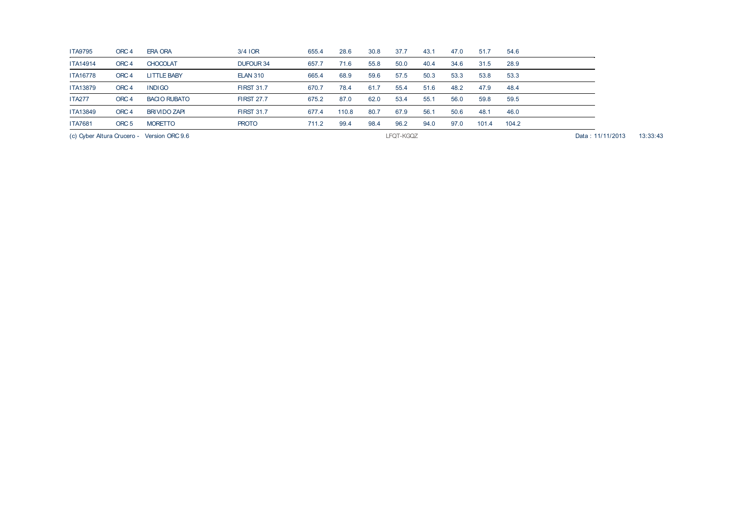| (c) Cyber Altura Crucero - Version ORC 9.6 |                  |                     |                   |       | LFQT-KGQZ |      |      |      |      |       |       |  | 13:33:43<br>Data: 11/11/2013 |
|--------------------------------------------|------------------|---------------------|-------------------|-------|-----------|------|------|------|------|-------|-------|--|------------------------------|
| <b>ITA7681</b>                             | ORC <sub>5</sub> | <b>MORETTO</b>      | <b>PROTO</b>      | 711.2 | 99.4      | 98.4 | 96.2 | 94.0 | 97.0 | 101.4 | 104.2 |  |                              |
| <b>ITA13849</b>                            | ORC <sub>4</sub> | <b>BRIVIDO ZAPI</b> | <b>FIRST 31.7</b> | 677.4 | 110.8     | 80.7 | 67.9 | 56.1 | 50.6 | 48.1  | 46.0  |  |                              |
| <b>ITA277</b>                              | ORC <sub>4</sub> | <b>BACIO RUBATO</b> | <b>FIRST 27.7</b> | 675.2 | 87.0      | 62.0 | 53.4 | 55.1 | 56.0 | 59.8  | 59.5  |  |                              |
| <b>ITA13879</b>                            | ORC <sub>4</sub> | <b>INDIGO</b>       | <b>FIRST 31.7</b> | 670.7 | 78.4      | 61.7 | 55.4 | 51.6 | 48.2 | 47.9  | 48.4  |  |                              |
| <b>ITA16778</b>                            | ORC <sub>4</sub> | <b>LITTLE BABY</b>  | <b>ELAN 310</b>   | 665.4 | 68.9      | 59.6 | 57.5 | 50.3 | 53.3 | 53.8  | 53.3  |  |                              |
| <b>ITA14914</b>                            | ORC <sub>4</sub> | <b>CHOCOLAT</b>     | DUFOUR 34         | 657.7 | 71.6      | 55.8 | 50.0 | 40.4 | 34.6 | 31.5  | 28.9  |  |                              |
| <b>ITA9795</b>                             | ORC <sub>4</sub> | <b>ERA ORA</b>      | $3/4$ IOR         | 655.4 | 28.6      | 30.8 | 37.7 | 43.1 | 47.0 | 51.7  | 54.6  |  |                              |